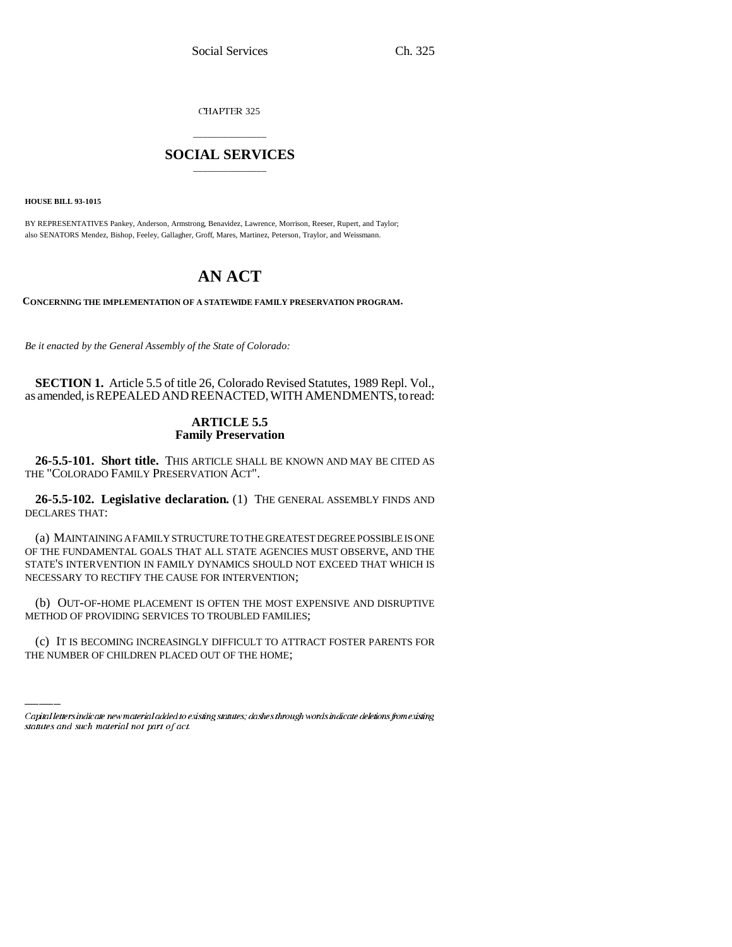CHAPTER 325

## \_\_\_\_\_\_\_\_\_\_\_\_\_\_\_ **SOCIAL SERVICES** \_\_\_\_\_\_\_\_\_\_\_\_\_\_\_

**HOUSE BILL 93-1015**

BY REPRESENTATIVES Pankey, Anderson, Armstrong, Benavidez, Lawrence, Morrison, Reeser, Rupert, and Taylor; also SENATORS Mendez, Bishop, Feeley, Gallagher, Groff, Mares, Martinez, Peterson, Traylor, and Weissmann.

# **AN ACT**

**CONCERNING THE IMPLEMENTATION OF A STATEWIDE FAMILY PRESERVATION PROGRAM.**

*Be it enacted by the General Assembly of the State of Colorado:*

**SECTION 1.** Article 5.5 of title 26, Colorado Revised Statutes, 1989 Repl. Vol., as amended, is REPEALED AND REENACTED, WITH AMENDMENTS, to read:

### **ARTICLE 5.5 Family Preservation**

**26-5.5-101. Short title.** THIS ARTICLE SHALL BE KNOWN AND MAY BE CITED AS THE "COLORADO FAMILY PRESERVATION ACT".

**26-5.5-102. Legislative declaration.** (1) THE GENERAL ASSEMBLY FINDS AND DECLARES THAT:

(a) MAINTAINING A FAMILY STRUCTURE TO THE GREATEST DEGREE POSSIBLE IS ONE OF THE FUNDAMENTAL GOALS THAT ALL STATE AGENCIES MUST OBSERVE, AND THE STATE'S INTERVENTION IN FAMILY DYNAMICS SHOULD NOT EXCEED THAT WHICH IS NECESSARY TO RECTIFY THE CAUSE FOR INTERVENTION;

METHOD OF PROVIDING SERVICES TO TROUBLED FAMILIES; (b) OUT-OF-HOME PLACEMENT IS OFTEN THE MOST EXPENSIVE AND DISRUPTIVE

(c) IT IS BECOMING INCREASINGLY DIFFICULT TO ATTRACT FOSTER PARENTS FOR THE NUMBER OF CHILDREN PLACED OUT OF THE HOME;

Capital letters indicate new material added to existing statutes; dashes through words indicate deletions from existing statutes and such material not part of act.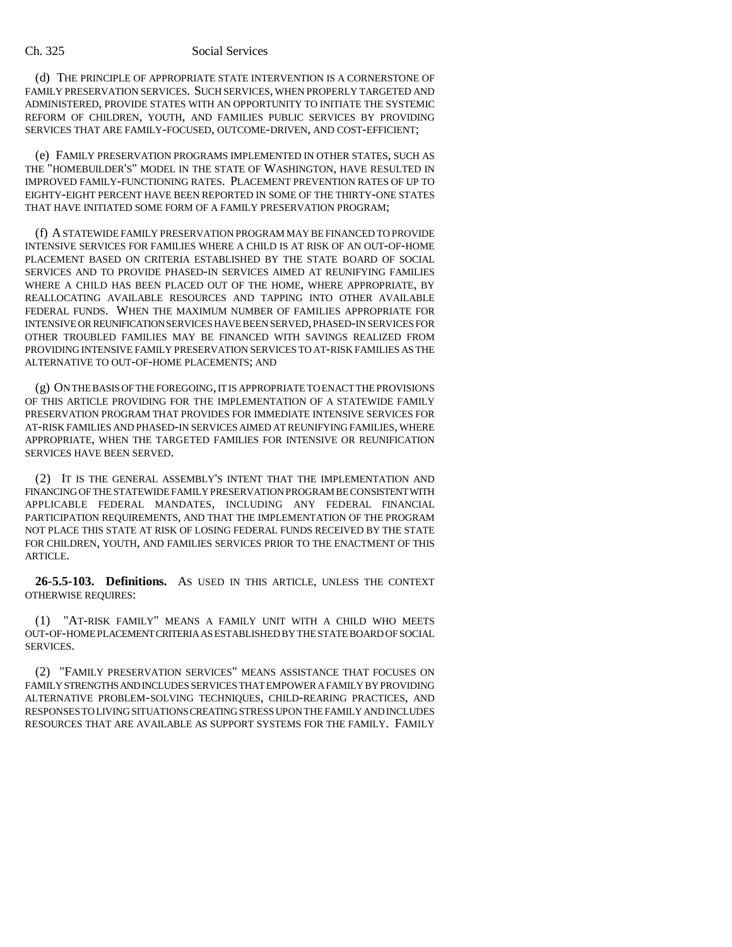#### Ch. 325 Social Services

(d) THE PRINCIPLE OF APPROPRIATE STATE INTERVENTION IS A CORNERSTONE OF FAMILY PRESERVATION SERVICES. SUCH SERVICES, WHEN PROPERLY TARGETED AND ADMINISTERED, PROVIDE STATES WITH AN OPPORTUNITY TO INITIATE THE SYSTEMIC REFORM OF CHILDREN, YOUTH, AND FAMILIES PUBLIC SERVICES BY PROVIDING SERVICES THAT ARE FAMILY-FOCUSED, OUTCOME-DRIVEN, AND COST-EFFICIENT;

(e) FAMILY PRESERVATION PROGRAMS IMPLEMENTED IN OTHER STATES, SUCH AS THE "HOMEBUILDER'S" MODEL IN THE STATE OF WASHINGTON, HAVE RESULTED IN IMPROVED FAMILY-FUNCTIONING RATES. PLACEMENT PREVENTION RATES OF UP TO EIGHTY-EIGHT PERCENT HAVE BEEN REPORTED IN SOME OF THE THIRTY-ONE STATES THAT HAVE INITIATED SOME FORM OF A FAMILY PRESERVATION PROGRAM;

(f) A STATEWIDE FAMILY PRESERVATION PROGRAM MAY BE FINANCED TO PROVIDE INTENSIVE SERVICES FOR FAMILIES WHERE A CHILD IS AT RISK OF AN OUT-OF-HOME PLACEMENT BASED ON CRITERIA ESTABLISHED BY THE STATE BOARD OF SOCIAL SERVICES AND TO PROVIDE PHASED-IN SERVICES AIMED AT REUNIFYING FAMILIES WHERE A CHILD HAS BEEN PLACED OUT OF THE HOME, WHERE APPROPRIATE, BY REALLOCATING AVAILABLE RESOURCES AND TAPPING INTO OTHER AVAILABLE FEDERAL FUNDS. WHEN THE MAXIMUM NUMBER OF FAMILIES APPROPRIATE FOR INTENSIVE OR REUNIFICATION SERVICES HAVE BEEN SERVED, PHASED-IN SERVICES FOR OTHER TROUBLED FAMILIES MAY BE FINANCED WITH SAVINGS REALIZED FROM PROVIDING INTENSIVE FAMILY PRESERVATION SERVICES TO AT-RISK FAMILIES AS THE ALTERNATIVE TO OUT-OF-HOME PLACEMENTS; AND

(g) ON THE BASIS OF THE FOREGOING, IT IS APPROPRIATE TO ENACT THE PROVISIONS OF THIS ARTICLE PROVIDING FOR THE IMPLEMENTATION OF A STATEWIDE FAMILY PRESERVATION PROGRAM THAT PROVIDES FOR IMMEDIATE INTENSIVE SERVICES FOR AT-RISK FAMILIES AND PHASED-IN SERVICES AIMED AT REUNIFYING FAMILIES, WHERE APPROPRIATE, WHEN THE TARGETED FAMILIES FOR INTENSIVE OR REUNIFICATION SERVICES HAVE BEEN SERVED.

(2) IT IS THE GENERAL ASSEMBLY'S INTENT THAT THE IMPLEMENTATION AND FINANCING OF THE STATEWIDE FAMILY PRESERVATION PROGRAM BE CONSISTENT WITH APPLICABLE FEDERAL MANDATES, INCLUDING ANY FEDERAL FINANCIAL PARTICIPATION REQUIREMENTS, AND THAT THE IMPLEMENTATION OF THE PROGRAM NOT PLACE THIS STATE AT RISK OF LOSING FEDERAL FUNDS RECEIVED BY THE STATE FOR CHILDREN, YOUTH, AND FAMILIES SERVICES PRIOR TO THE ENACTMENT OF THIS ARTICLE.

**26-5.5-103. Definitions.** AS USED IN THIS ARTICLE, UNLESS THE CONTEXT OTHERWISE REQUIRES:

(1) "AT-RISK FAMILY" MEANS A FAMILY UNIT WITH A CHILD WHO MEETS OUT-OF-HOME PLACEMENT CRITERIA AS ESTABLISHED BY THE STATE BOARD OF SOCIAL SERVICES.

(2) "FAMILY PRESERVATION SERVICES" MEANS ASSISTANCE THAT FOCUSES ON FAMILY STRENGTHS AND INCLUDES SERVICES THAT EMPOWER A FAMILY BY PROVIDING ALTERNATIVE PROBLEM-SOLVING TECHNIQUES, CHILD-REARING PRACTICES, AND RESPONSES TO LIVING SITUATIONS CREATING STRESS UPON THE FAMILY AND INCLUDES RESOURCES THAT ARE AVAILABLE AS SUPPORT SYSTEMS FOR THE FAMILY. FAMILY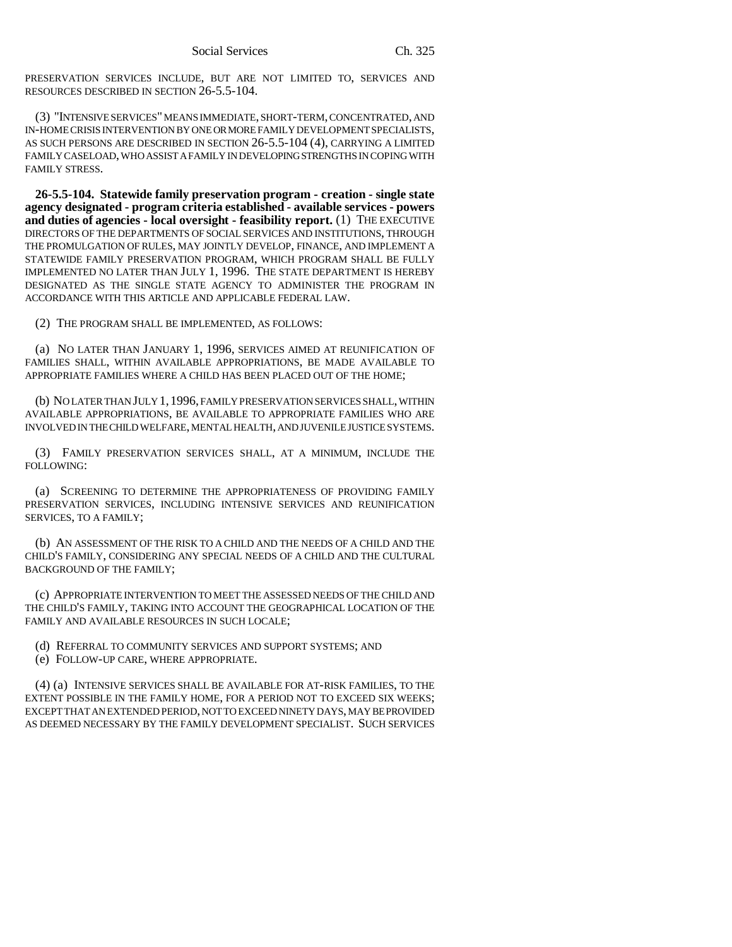PRESERVATION SERVICES INCLUDE, BUT ARE NOT LIMITED TO, SERVICES AND RESOURCES DESCRIBED IN SECTION 26-5.5-104.

(3) "INTENSIVE SERVICES" MEANS IMMEDIATE, SHORT-TERM, CONCENTRATED, AND IN-HOME CRISIS INTERVENTION BY ONE OR MORE FAMILY DEVELOPMENT SPECIALISTS, AS SUCH PERSONS ARE DESCRIBED IN SECTION 26-5.5-104 (4), CARRYING A LIMITED FAMILY CASELOAD, WHO ASSIST A FAMILY IN DEVELOPING STRENGTHS IN COPING WITH FAMILY STRESS.

**26-5.5-104. Statewide family preservation program - creation - single state agency designated - program criteria established - available services - powers and duties of agencies - local oversight - feasibility report.** (1) THE EXECUTIVE DIRECTORS OF THE DEPARTMENTS OF SOCIAL SERVICES AND INSTITUTIONS, THROUGH THE PROMULGATION OF RULES, MAY JOINTLY DEVELOP, FINANCE, AND IMPLEMENT A STATEWIDE FAMILY PRESERVATION PROGRAM, WHICH PROGRAM SHALL BE FULLY IMPLEMENTED NO LATER THAN JULY 1, 1996. THE STATE DEPARTMENT IS HEREBY DESIGNATED AS THE SINGLE STATE AGENCY TO ADMINISTER THE PROGRAM IN ACCORDANCE WITH THIS ARTICLE AND APPLICABLE FEDERAL LAW.

(2) THE PROGRAM SHALL BE IMPLEMENTED, AS FOLLOWS:

(a) NO LATER THAN JANUARY 1, 1996, SERVICES AIMED AT REUNIFICATION OF FAMILIES SHALL, WITHIN AVAILABLE APPROPRIATIONS, BE MADE AVAILABLE TO APPROPRIATE FAMILIES WHERE A CHILD HAS BEEN PLACED OUT OF THE HOME;

(b) NO LATER THAN JULY 1,1996, FAMILY PRESERVATION SERVICES SHALL, WITHIN AVAILABLE APPROPRIATIONS, BE AVAILABLE TO APPROPRIATE FAMILIES WHO ARE INVOLVED IN THE CHILD WELFARE, MENTAL HEALTH, AND JUVENILE JUSTICE SYSTEMS.

(3) FAMILY PRESERVATION SERVICES SHALL, AT A MINIMUM, INCLUDE THE FOLLOWING:

(a) SCREENING TO DETERMINE THE APPROPRIATENESS OF PROVIDING FAMILY PRESERVATION SERVICES, INCLUDING INTENSIVE SERVICES AND REUNIFICATION SERVICES, TO A FAMILY;

(b) AN ASSESSMENT OF THE RISK TO A CHILD AND THE NEEDS OF A CHILD AND THE CHILD'S FAMILY, CONSIDERING ANY SPECIAL NEEDS OF A CHILD AND THE CULTURAL BACKGROUND OF THE FAMILY;

(c) APPROPRIATE INTERVENTION TO MEET THE ASSESSED NEEDS OF THE CHILD AND THE CHILD'S FAMILY, TAKING INTO ACCOUNT THE GEOGRAPHICAL LOCATION OF THE FAMILY AND AVAILABLE RESOURCES IN SUCH LOCALE;

- (d) REFERRAL TO COMMUNITY SERVICES AND SUPPORT SYSTEMS; AND
- (e) FOLLOW-UP CARE, WHERE APPROPRIATE.

(4) (a) INTENSIVE SERVICES SHALL BE AVAILABLE FOR AT-RISK FAMILIES, TO THE EXTENT POSSIBLE IN THE FAMILY HOME, FOR A PERIOD NOT TO EXCEED SIX WEEKS; EXCEPT THAT AN EXTENDED PERIOD, NOT TO EXCEED NINETY DAYS, MAY BE PROVIDED AS DEEMED NECESSARY BY THE FAMILY DEVELOPMENT SPECIALIST. SUCH SERVICES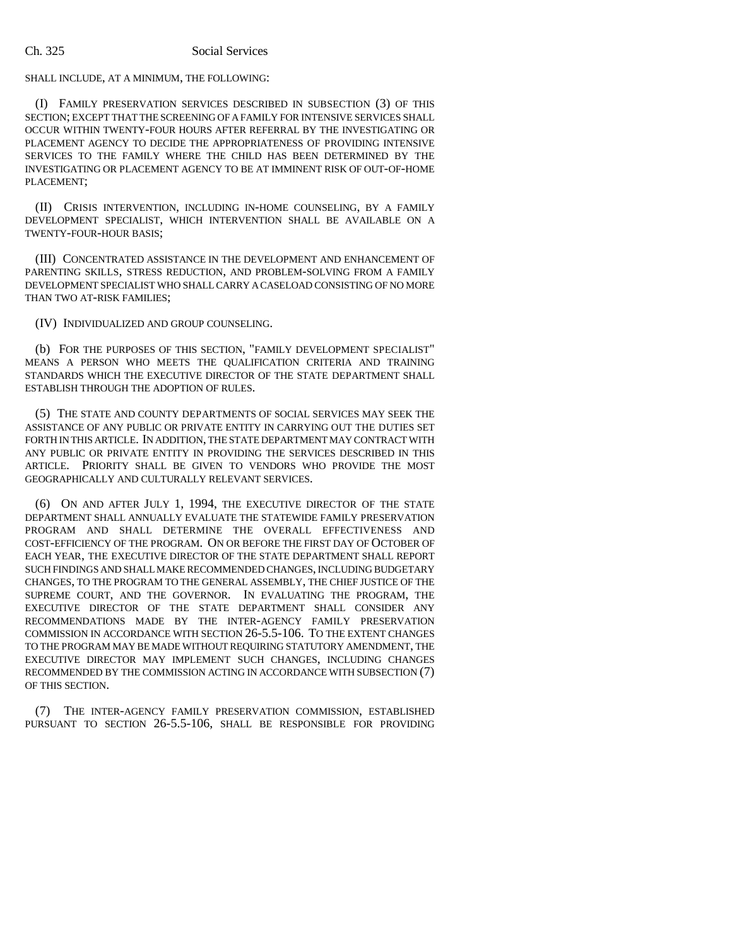#### Ch. 325 Social Services

#### SHALL INCLUDE, AT A MINIMUM, THE FOLLOWING:

(I) FAMILY PRESERVATION SERVICES DESCRIBED IN SUBSECTION (3) OF THIS SECTION; EXCEPT THAT THE SCREENING OF A FAMILY FOR INTENSIVE SERVICES SHALL OCCUR WITHIN TWENTY-FOUR HOURS AFTER REFERRAL BY THE INVESTIGATING OR PLACEMENT AGENCY TO DECIDE THE APPROPRIATENESS OF PROVIDING INTENSIVE SERVICES TO THE FAMILY WHERE THE CHILD HAS BEEN DETERMINED BY THE INVESTIGATING OR PLACEMENT AGENCY TO BE AT IMMINENT RISK OF OUT-OF-HOME PLACEMENT;

(II) CRISIS INTERVENTION, INCLUDING IN-HOME COUNSELING, BY A FAMILY DEVELOPMENT SPECIALIST, WHICH INTERVENTION SHALL BE AVAILABLE ON A TWENTY-FOUR-HOUR BASIS;

(III) CONCENTRATED ASSISTANCE IN THE DEVELOPMENT AND ENHANCEMENT OF PARENTING SKILLS, STRESS REDUCTION, AND PROBLEM-SOLVING FROM A FAMILY DEVELOPMENT SPECIALIST WHO SHALL CARRY A CASELOAD CONSISTING OF NO MORE THAN TWO AT-RISK FAMILIES;

(IV) INDIVIDUALIZED AND GROUP COUNSELING.

(b) FOR THE PURPOSES OF THIS SECTION, "FAMILY DEVELOPMENT SPECIALIST" MEANS A PERSON WHO MEETS THE QUALIFICATION CRITERIA AND TRAINING STANDARDS WHICH THE EXECUTIVE DIRECTOR OF THE STATE DEPARTMENT SHALL ESTABLISH THROUGH THE ADOPTION OF RULES.

(5) THE STATE AND COUNTY DEPARTMENTS OF SOCIAL SERVICES MAY SEEK THE ASSISTANCE OF ANY PUBLIC OR PRIVATE ENTITY IN CARRYING OUT THE DUTIES SET FORTH IN THIS ARTICLE. IN ADDITION, THE STATE DEPARTMENT MAY CONTRACT WITH ANY PUBLIC OR PRIVATE ENTITY IN PROVIDING THE SERVICES DESCRIBED IN THIS ARTICLE. PRIORITY SHALL BE GIVEN TO VENDORS WHO PROVIDE THE MOST GEOGRAPHICALLY AND CULTURALLY RELEVANT SERVICES.

(6) ON AND AFTER JULY 1, 1994, THE EXECUTIVE DIRECTOR OF THE STATE DEPARTMENT SHALL ANNUALLY EVALUATE THE STATEWIDE FAMILY PRESERVATION PROGRAM AND SHALL DETERMINE THE OVERALL EFFECTIVENESS AND COST-EFFICIENCY OF THE PROGRAM. ON OR BEFORE THE FIRST DAY OF OCTOBER OF EACH YEAR, THE EXECUTIVE DIRECTOR OF THE STATE DEPARTMENT SHALL REPORT SUCH FINDINGS AND SHALL MAKE RECOMMENDED CHANGES, INCLUDING BUDGETARY CHANGES, TO THE PROGRAM TO THE GENERAL ASSEMBLY, THE CHIEF JUSTICE OF THE SUPREME COURT, AND THE GOVERNOR. IN EVALUATING THE PROGRAM, THE EXECUTIVE DIRECTOR OF THE STATE DEPARTMENT SHALL CONSIDER ANY RECOMMENDATIONS MADE BY THE INTER-AGENCY FAMILY PRESERVATION COMMISSION IN ACCORDANCE WITH SECTION 26-5.5-106. TO THE EXTENT CHANGES TO THE PROGRAM MAY BE MADE WITHOUT REQUIRING STATUTORY AMENDMENT, THE EXECUTIVE DIRECTOR MAY IMPLEMENT SUCH CHANGES, INCLUDING CHANGES RECOMMENDED BY THE COMMISSION ACTING IN ACCORDANCE WITH SUBSECTION (7) OF THIS SECTION.

(7) THE INTER-AGENCY FAMILY PRESERVATION COMMISSION, ESTABLISHED PURSUANT TO SECTION 26-5.5-106, SHALL BE RESPONSIBLE FOR PROVIDING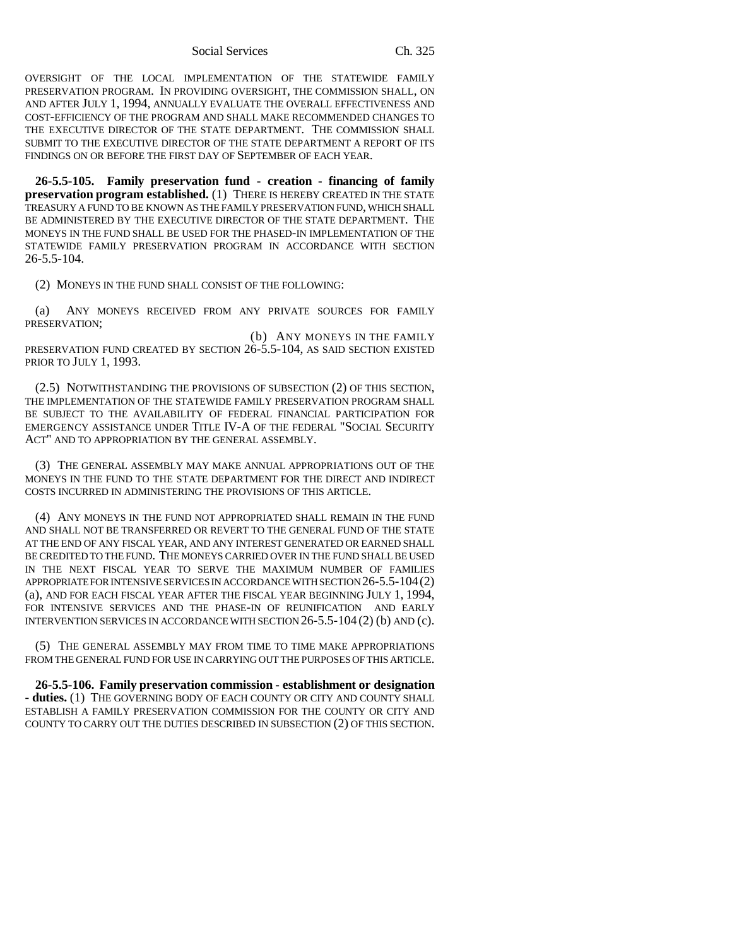Social Services Ch. 325

OVERSIGHT OF THE LOCAL IMPLEMENTATION OF THE STATEWIDE FAMILY PRESERVATION PROGRAM. IN PROVIDING OVERSIGHT, THE COMMISSION SHALL, ON AND AFTER JULY 1, 1994, ANNUALLY EVALUATE THE OVERALL EFFECTIVENESS AND COST-EFFICIENCY OF THE PROGRAM AND SHALL MAKE RECOMMENDED CHANGES TO THE EXECUTIVE DIRECTOR OF THE STATE DEPARTMENT. THE COMMISSION SHALL SUBMIT TO THE EXECUTIVE DIRECTOR OF THE STATE DEPARTMENT A REPORT OF ITS FINDINGS ON OR BEFORE THE FIRST DAY OF SEPTEMBER OF EACH YEAR.

**26-5.5-105. Family preservation fund - creation - financing of family preservation program established.** (1) THERE IS HEREBY CREATED IN THE STATE TREASURY A FUND TO BE KNOWN AS THE FAMILY PRESERVATION FUND, WHICH SHALL BE ADMINISTERED BY THE EXECUTIVE DIRECTOR OF THE STATE DEPARTMENT. THE MONEYS IN THE FUND SHALL BE USED FOR THE PHASED-IN IMPLEMENTATION OF THE STATEWIDE FAMILY PRESERVATION PROGRAM IN ACCORDANCE WITH SECTION 26-5.5-104.

(2) MONEYS IN THE FUND SHALL CONSIST OF THE FOLLOWING:

(a) ANY MONEYS RECEIVED FROM ANY PRIVATE SOURCES FOR FAMILY PRESERVATION;

 (b) ANY MONEYS IN THE FAMILY PRESERVATION FUND CREATED BY SECTION 26-5.5-104, AS SAID SECTION EXISTED PRIOR TO JULY 1, 1993.

(2.5) NOTWITHSTANDING THE PROVISIONS OF SUBSECTION (2) OF THIS SECTION, THE IMPLEMENTATION OF THE STATEWIDE FAMILY PRESERVATION PROGRAM SHALL BE SUBJECT TO THE AVAILABILITY OF FEDERAL FINANCIAL PARTICIPATION FOR EMERGENCY ASSISTANCE UNDER TITLE IV-A OF THE FEDERAL "SOCIAL SECURITY ACT" AND TO APPROPRIATION BY THE GENERAL ASSEMBLY.

(3) THE GENERAL ASSEMBLY MAY MAKE ANNUAL APPROPRIATIONS OUT OF THE MONEYS IN THE FUND TO THE STATE DEPARTMENT FOR THE DIRECT AND INDIRECT COSTS INCURRED IN ADMINISTERING THE PROVISIONS OF THIS ARTICLE.

(4) ANY MONEYS IN THE FUND NOT APPROPRIATED SHALL REMAIN IN THE FUND AND SHALL NOT BE TRANSFERRED OR REVERT TO THE GENERAL FUND OF THE STATE AT THE END OF ANY FISCAL YEAR, AND ANY INTEREST GENERATED OR EARNED SHALL BE CREDITED TO THE FUND. THE MONEYS CARRIED OVER IN THE FUND SHALL BE USED IN THE NEXT FISCAL YEAR TO SERVE THE MAXIMUM NUMBER OF FAMILIES APPROPRIATE FOR INTENSIVE SERVICES IN ACCORDANCE WITH SECTION 26-5.5-104(2) (a), AND FOR EACH FISCAL YEAR AFTER THE FISCAL YEAR BEGINNING JULY 1, 1994, FOR INTENSIVE SERVICES AND THE PHASE-IN OF REUNIFICATION AND EARLY INTERVENTION SERVICES IN ACCORDANCE WITH SECTION 26-5.5-104 (2) (b) AND (c).

(5) THE GENERAL ASSEMBLY MAY FROM TIME TO TIME MAKE APPROPRIATIONS FROM THE GENERAL FUND FOR USE IN CARRYING OUT THE PURPOSES OF THIS ARTICLE.

**26-5.5-106. Family preservation commission - establishment or designation - duties.** (1) THE GOVERNING BODY OF EACH COUNTY OR CITY AND COUNTY SHALL ESTABLISH A FAMILY PRESERVATION COMMISSION FOR THE COUNTY OR CITY AND COUNTY TO CARRY OUT THE DUTIES DESCRIBED IN SUBSECTION (2) OF THIS SECTION.